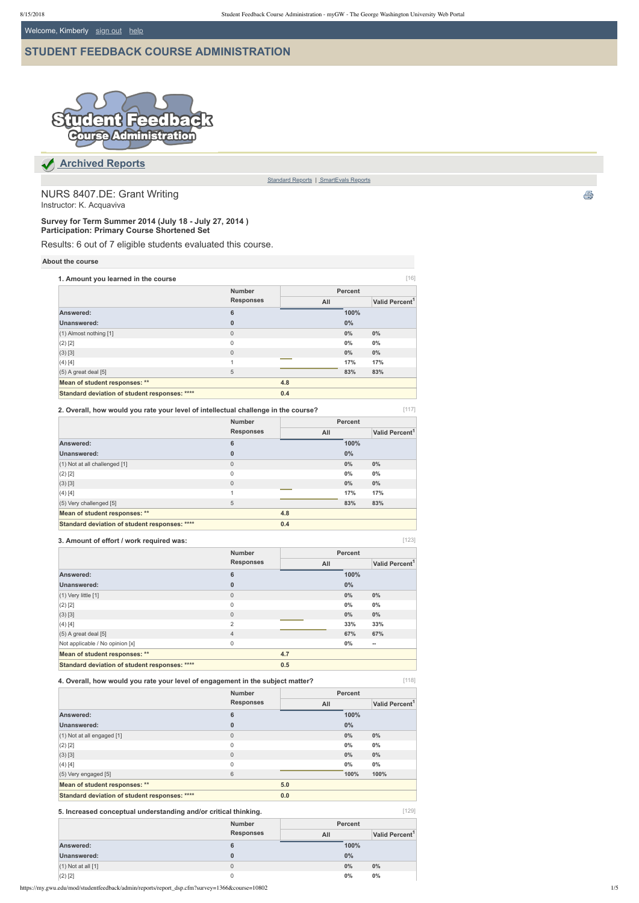Welcome, Kimberly [sign out](https://my.gwu.edu/login) help

# **[STUDENT FEEDBACK COURSE ADMINISTRATION](https://my.gwu.edu/mod/studentfeedback/admin/reports/)**



[129]

 **[Archived Reports](https://my.gwu.edu/mod/studentfeedback/admin/reports)**

[Standard Reports](https://my.gwu.edu/mod/studentfeedback/admin/reports/index.cfm) | SmartEvals Reports

NURS 8407.DE: Grant Writing Instructor: K. Acquaviva

**Survey for Term Summer 2014 (July 18 July 27, 2014 ) Participation: Primary Course Shortened Set**

Results: 6 out of 7 eligible students evaluated this course.

#### **About the course**

[117] **2. Overall, how would you rate your level of intellectual challenge in the course?**

| 1. Amount you learned in the course           |                  |     |                | $[16]$                     |
|-----------------------------------------------|------------------|-----|----------------|----------------------------|
|                                               | <b>Number</b>    |     | <b>Percent</b> |                            |
|                                               | <b>Responses</b> | All |                | Valid Percent <sup>1</sup> |
| Answered:                                     | 6                |     | 100%           |                            |
| Unanswered:                                   | $\mathbf{0}$     |     | $0\%$          |                            |
| (1) Almost nothing [1]                        | $\mathbf{0}$     |     | $0\%$          | $0\%$                      |
| $(2)$ [2]                                     | 0                |     | $0\%$          | $0\%$                      |
| (3) [3]                                       | $\Omega$         |     | $0\%$          | $0\%$                      |
| (4) [4]                                       | 1                |     | 17%            | 17%                        |
| $(5)$ A great deal $[5]$                      | 5                |     | 83%            | 83%                        |
| Mean of student responses: **                 |                  | 4.8 |                |                            |
| Standard deviation of student responses: **** |                  | 0.4 |                |                            |

| 3. Amount of effort / work required was:      |                  |     |                | [123]                      |
|-----------------------------------------------|------------------|-----|----------------|----------------------------|
|                                               | <b>Number</b>    |     | <b>Percent</b> |                            |
|                                               | <b>Responses</b> | All |                | Valid Percent <sup>1</sup> |
| Answered:                                     | 6                |     | 100%           |                            |
| Unanswered:                                   | $\bf{0}$         |     | $0\%$          |                            |
| $(1)$ Very little $[1]$                       | $\mathbf 0$      |     | 0%             | $0\%$                      |
| $(2)$ [2]                                     | $\mathbf{0}$     |     | $0\%$          | $0\%$                      |
| $(3)$ [3]                                     | $\mathbf{0}$     |     | $0\%$          | $0\%$                      |
| (4) [4]                                       | $\overline{2}$   |     | 33%            | 33%                        |
| $(5)$ A great deal [5]                        | $\overline{4}$   |     | 67%            | 67%                        |
| Not applicable / No opinion [x]               | $\mathsf 0$      |     | $0\%$          | $\overline{\phantom{a}}$   |
| Mean of student responses: **                 |                  | 4.7 |                |                            |
| Standard deviation of student responses: **** |                  | 0.5 |                |                            |

# **3. Amount of effort / work required was:**

|                                                      | <b>Number</b>    | <b>Percent</b> |       |                            |  |
|------------------------------------------------------|------------------|----------------|-------|----------------------------|--|
|                                                      | <b>Responses</b> | All            |       | Valid Percent <sup>1</sup> |  |
| Answered:                                            | $6\phantom{1}6$  |                | 100%  |                            |  |
| Unanswered:                                          | $\bf{0}$         |                | $0\%$ |                            |  |
| (1) Not at all challenged [1]                        | $\mathbf{0}$     |                | $0\%$ | $0\%$                      |  |
| (2) [2]                                              | $\mathbf{0}$     |                | $0\%$ | $0\%$                      |  |
| (3) [3]                                              | $\mathbf 0$      |                | $0\%$ | $0\%$                      |  |
| (4) [4]                                              |                  |                | 17%   | 17%                        |  |
| (5) Very challenged [5]                              | 5                |                | 83%   | 83%                        |  |
| Mean of student responses: **                        |                  | 4.8            |       |                            |  |
| <b>Standard deviation of student responses: ****</b> |                  | 0.4            |       |                            |  |

**4. Overall, how would you rate your level of engagement in the subject matter?**

ê,

|  | ٧ |  |
|--|---|--|
|  |   |  |

|                                               | <b>Number</b>    | <b>Percent</b> |       |                            |
|-----------------------------------------------|------------------|----------------|-------|----------------------------|
|                                               | <b>Responses</b> | All            |       | Valid Percent <sup>1</sup> |
| Answered:                                     | 6                |                | 100%  |                            |
| Unanswered:                                   | 0                |                | $0\%$ |                            |
| $(1)$ Not at all engaged $[1]$                | 0                |                | 0%    | $0\%$                      |
| $(2)$ [2]                                     | 0                |                | 0%    | $0\%$                      |
| (3) [3]                                       | $\mathbf{0}$     |                | 0%    | $0\%$                      |
| (4) [4]                                       | $\mathbf 0$      |                | $0\%$ | $0\%$                      |
| (5) Very engaged [5]                          | 6                |                | 100%  | 100%                       |
| Mean of student responses: **                 |                  | 5.0            |       |                            |
| Standard deviation of student responses: **** |                  | 0.0            |       |                            |

#### **5. Increased conceptual understanding and/or critical thinking.**

|                        | <b>Number</b>    | <b>Percent</b>                    |
|------------------------|------------------|-----------------------------------|
|                        | <b>Responses</b> | Valid Percent <sup>1</sup><br>All |
| Answered:              | 6                | 100%                              |
| Unanswered:            |                  | 0%                                |
| $(1)$ Not at all $[1]$ | 0                | $0\%$<br>$0\%$                    |
| $(2)$ [2]              |                  | $0\%$<br>$0\%$                    |

https://my.gwu.edu/mod/studentfeedback/admin/reports/report\_dsp.cfm?survey=1366&course=10802 1/5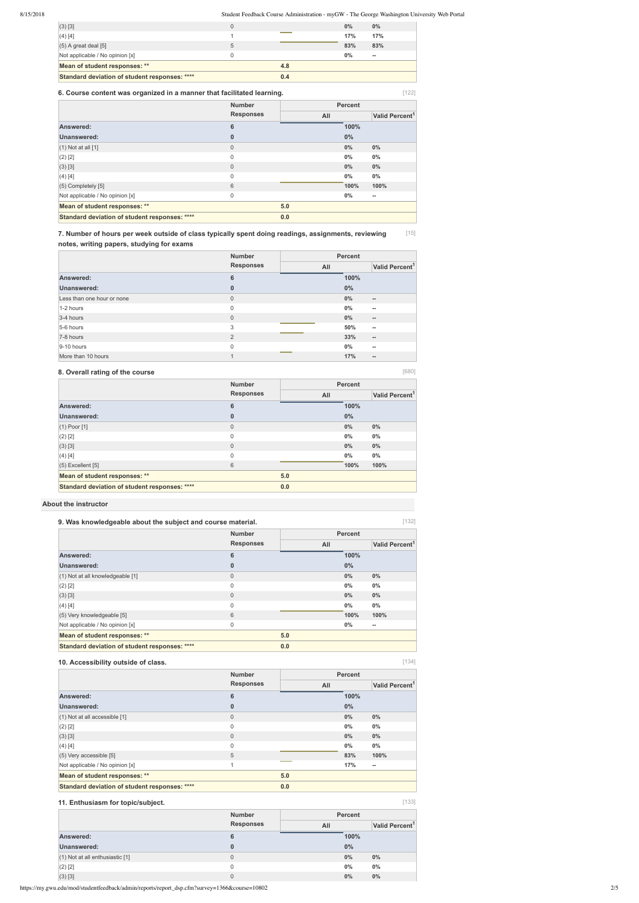|  | ٧ |
|--|---|

[134]

[133]

|   | 0.4 |       |                   |
|---|-----|-------|-------------------|
|   | 4.8 |       |                   |
|   |     | $0\%$ | $\hspace{0.05cm}$ |
| 5 |     | 83%   | 83%               |
|   |     | 17%   | 17%               |
|   |     | 0%    | 0%                |
|   |     |       |                   |

[15] **7. Number of hours per week outside of class typically spent doing readings, assignments, reviewing notes, writing papers, studying for exams**

# **8. Overall rating of the course**

| 6. Course content was organized in a manner that facilitated learning. |                                   |     |       | [122]                      |  |
|------------------------------------------------------------------------|-----------------------------------|-----|-------|----------------------------|--|
|                                                                        | <b>Number</b><br><b>Responses</b> |     |       | <b>Percent</b>             |  |
|                                                                        |                                   | All |       | Valid Percent <sup>1</sup> |  |
| Answered:                                                              | 6                                 |     | 100%  |                            |  |
| Unanswered:                                                            | $\bf{0}$                          |     | $0\%$ |                            |  |
| $(1)$ Not at all $[1]$                                                 | $\overline{0}$                    |     | 0%    | $0\%$                      |  |
| $(2)$ [2]                                                              | $\mathsf 0$                       |     | 0%    | $0\%$                      |  |
| $(3)$ [3]                                                              | $\mathbf 0$                       |     | $0\%$ | $0\%$                      |  |
| (4) [4]                                                                | $\mathbf 0$                       |     | 0%    | $0\%$                      |  |
| $(5)$ Completely $[5]$                                                 | 6                                 |     | 100%  | 100%                       |  |
| Not applicable / No opinion [x]                                        | $\mathsf 0$                       |     | $0\%$ | --                         |  |
| Mean of student responses: **                                          |                                   | 5.0 |       |                            |  |
| Standard deviation of student responses: ****                          |                                   | 0.0 |       |                            |  |

| 9. Was knowledgeable about the subject and course material. |                                   |     |       | [132]                      |  |
|-------------------------------------------------------------|-----------------------------------|-----|-------|----------------------------|--|
|                                                             | <b>Number</b><br><b>Responses</b> |     |       | <b>Percent</b>             |  |
|                                                             |                                   | All |       | Valid Percent <sup>1</sup> |  |
| Answered:                                                   | 6                                 |     | 100%  |                            |  |
| <b>Unanswered:</b>                                          | 0                                 |     | $0\%$ |                            |  |
| (1) Not at all knowledgeable [1]                            | $\mathbf{0}$                      |     | 0%    | $0\%$                      |  |
| $(2)$ [2]                                                   | $\mathbf 0$                       |     | $0\%$ | $0\%$                      |  |
| $(3)$ [3]                                                   | $\overline{0}$                    |     | 0%    | $0\%$                      |  |
| (4) [4]                                                     | $\mathbf 0$                       |     | $0\%$ | $0\%$                      |  |
| (5) Very knowledgeable [5]                                  | 6                                 |     | 100%  | 100%                       |  |
| Not applicable / No opinion [x]                             | $\mathbf 0$                       |     | $0\%$ | --                         |  |
| Mean of student responses: **                               |                                   | 5.0 |       |                            |  |
| Standard deviation of student responses: ****               |                                   | 0.0 |       |                            |  |

# **About the instructor**

|                            | <b>Number</b>    |     | <b>Percent</b> |                                       |  |
|----------------------------|------------------|-----|----------------|---------------------------------------|--|
|                            | <b>Responses</b> | All |                | Valid Percent <sup>1</sup>            |  |
| Answered:                  | 6                |     | 100%           |                                       |  |
| Unanswered:                | $\bf{0}$         |     | $0\%$          |                                       |  |
| Less than one hour or none | $\mathbf{0}$     |     | $0\%$          | $\hspace{0.05cm}$ – $\hspace{0.05cm}$ |  |
| 1-2 hours                  | $\mathbf{0}$     |     | 0%             | $\hspace{0.05cm}$                     |  |
| 3-4 hours                  | $\overline{0}$   |     | $0\%$          | $\overline{\phantom{a}}$              |  |
| 5-6 hours                  | 3                |     | 50%            | $\hspace{0.05cm}$                     |  |
| 7-8 hours                  | 2                |     | 33%            | $\hspace{0.05cm}$ $\hspace{0.05cm}$   |  |
| $9-10$ hours               | $\mathbf{0}$     |     | 0%             | $\hspace{0.05cm}$                     |  |
| More than 10 hours         | 1                |     | 17%            | $\hspace{0.05cm} \bar{}$              |  |

|                                               | <b>Number</b>    | <b>Percent</b> |       |                            |  |
|-----------------------------------------------|------------------|----------------|-------|----------------------------|--|
|                                               | <b>Responses</b> | All            |       | Valid Percent <sup>1</sup> |  |
| Answered:                                     | 6                |                | 100%  |                            |  |
| Unanswered:                                   | $\bf{0}$         |                | $0\%$ |                            |  |
| $(1)$ Poor $[1]$                              | $\overline{0}$   |                | $0\%$ | $0\%$                      |  |
| $(2)$ [2]                                     | $\mathbf{0}$     |                | $0\%$ | $0\%$                      |  |
| (3) [3]                                       | $\mathbf 0$      |                | $0\%$ | $0\%$                      |  |
| (4) [4]                                       | $\mathbf{0}$     |                | $0\%$ | $0\%$                      |  |
| $(5)$ Excellent $[5]$                         | 6                |                | 100%  | 100%                       |  |
| Mean of student responses: **                 |                  | 5.0            |       |                            |  |
| Standard deviation of student responses: **** |                  | 0.0            |       |                            |  |

# **10. Accessibility outside of class.**

| ___<br>____   |                |
|---------------|----------------|
| <b>Number</b> | <b>Percent</b> |

|                                               | <b>Responses</b> | All |       | Valid Percent <sup>1</sup> |
|-----------------------------------------------|------------------|-----|-------|----------------------------|
| Answered:                                     | 6                |     | 100%  |                            |
| <b>Unanswered:</b>                            | 0                |     | $0\%$ |                            |
| $(1)$ Not at all accessible $[1]$             | 0                |     | 0%    | $0\%$                      |
| $(2)$ [2]                                     | 0                |     | $0\%$ | $0\%$                      |
| $(3)$ [3]                                     | $\mathbf{0}$     |     | $0\%$ | $0\%$                      |
| (4) [4]                                       | 0                |     | $0\%$ | $0\%$                      |
| $(5)$ Very accessible [5]                     | 5                |     | 83%   | 100%                       |
| Not applicable / No opinion [x]               |                  |     | 17%   | $\overline{\phantom{a}}$   |
| Mean of student responses: **                 |                  | 5.0 |       |                            |
| Standard deviation of student responses: **** |                  | 0.0 |       |                            |

# **11. Enthusiasm for topic/subject.**

|                                 | <b>Number</b>    |     | <b>Percent</b> |                            |
|---------------------------------|------------------|-----|----------------|----------------------------|
|                                 | <b>Responses</b> | All |                | Valid Percent <sup>1</sup> |
| Answered:                       | 6                |     | 100%           |                            |
| Unanswered:                     | 0                |     | $0\%$          |                            |
| (1) Not at all enthusiastic [1] | 0                |     | $0\%$          | $0\%$                      |
| $(2)$ [2]                       | 0                |     | $0\%$          | $0\%$                      |
| $(3)$ [3]                       | 0                |     | 0%             | 0%                         |

https://my.gwu.edu/mod/studentfeedback/admin/reports/report\_dsp.cfm?survey=1366&course=10802 2/5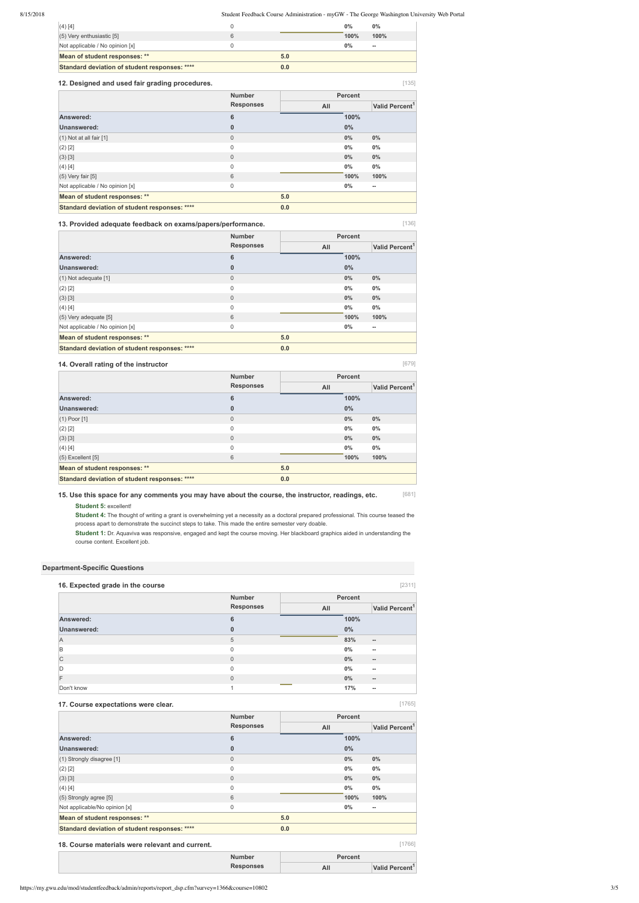[136]

[679]

[1765]

[1766]

| $(4)$ [4]                                     |     | $0\%$ | $0\%$ |
|-----------------------------------------------|-----|-------|-------|
| $(5)$ Very enthusiastic [5]                   |     | 100%  | 100%  |
| Not applicable / No opinion [x]               |     | $0\%$ | $-$   |
| Mean of student responses: **                 | 5.0 |       |       |
| Standard deviation of student responses: **** | 0.0 |       |       |

#### **12. Designed and used fair grading procedures.**

#### **13. Provided adequate feedback on exams/papers/performance.**

[681] **15. Use this space for any comments you may have about the course, the instructor, readings, etc.**

# **14. Overall rating of the instructor**

| 12. Designed and used fair grading procedures. |                  |     |                | $[135]$                    |
|------------------------------------------------|------------------|-----|----------------|----------------------------|
|                                                | <b>Number</b>    |     | <b>Percent</b> |                            |
|                                                | <b>Responses</b> | All |                | Valid Percent <sup>1</sup> |
| Answered:                                      | $6\phantom{1}6$  |     | 100%           |                            |
| Unanswered:                                    | $\mathbf 0$      |     | 0%             |                            |
| $(1)$ Not at all fair $[1]$                    | $\mathbf{0}$     |     | 0%             | $0\%$                      |
| $(2)$ [2]                                      | $\mathbf 0$      |     | 0%             | $0\%$                      |
| $(3)$ [3]                                      | $\mathbf{0}$     |     | $0\%$          | $0\%$                      |
| (4) [4]                                        | $\mathbf 0$      |     | $0\%$          | $0\%$                      |
| $(5)$ Very fair $[5]$                          | 6                |     | 100%           | 100%                       |
| Not applicable / No opinion [x]                | $\mathbf 0$      |     | 0%             | --                         |
| Mean of student responses: **                  |                  | 5.0 |                |                            |
| Standard deviation of student responses: ****  |                  | 0.0 |                |                            |

| 16. Expected grade in the course |                  |                |                            |
|----------------------------------|------------------|----------------|----------------------------|
|                                  | <b>Number</b>    | <b>Percent</b> |                            |
|                                  | <b>Responses</b> | All            | Valid Percent <sup>1</sup> |
| Answered:                        | 6                | 100%           |                            |
| Unanswered:                      | $\bf{0}$         | $0\%$          |                            |
| A                                | 5                | 83%            | $\overline{\phantom{a}}$   |
| B                                | $\mathbf{0}$     | 0%             | $\overline{\phantom{a}}$   |
| $\mathsf{C}$                     | $\mathbf{0}$     | $0\%$          | $\overline{\phantom{a}}$   |
| D                                | $\mathbf{0}$     | 0%             | $\overline{\phantom{a}}$   |
| F                                | $\mathbf 0$      | 0%             | $\overline{\phantom{a}}$   |

**Student 5:** excellent!

**Student 4:** The thought of writing a grant is overwhelming yet a necessity as a doctoral prepared professional. This course teased the process apart to demonstrate the succinct steps to take. This made the entire semester very doable.

|                                               | <b>Number</b>    |     |       | <b>Percent</b>             |  |
|-----------------------------------------------|------------------|-----|-------|----------------------------|--|
|                                               | <b>Responses</b> | All |       | Valid Percent <sup>1</sup> |  |
| Answered:                                     | 6                |     | 100%  |                            |  |
| Unanswered:                                   | $\bf{0}$         |     | $0\%$ |                            |  |
| $(1)$ Not adequate $[1]$                      | $\mathbf{0}$     |     | 0%    | $0\%$                      |  |
| $(2)$ [2]                                     | $\mathbf 0$      |     | 0%    | $0\%$                      |  |
| (3) [3]                                       | $\overline{0}$   |     | 0%    | 0%                         |  |
| (4) [4]                                       | $\mathbf 0$      |     | $0\%$ | $0\%$                      |  |
| $(5)$ Very adequate [5]                       | 6                |     | 100%  | 100%                       |  |
| Not applicable / No opinion [x]               | $\mathsf 0$      |     | $0\%$ | $\hspace{0.05cm}$          |  |
| Mean of student responses: **                 |                  | 5.0 |       |                            |  |
| Standard deviation of student responses: **** |                  | 0.0 |       |                            |  |

**Student 1:** Dr. Aquaviva was responsive, engaged and kept the course moving. Her blackboard graphics aided in understanding the course content. Excellent job.

#### **Department-Specific Questions**

|                                               | <b>Number</b>    |     |       | <b>Percent</b>             |  |
|-----------------------------------------------|------------------|-----|-------|----------------------------|--|
|                                               | <b>Responses</b> | All |       | Valid Percent <sup>1</sup> |  |
| Answered:                                     | 6                |     | 100%  |                            |  |
| Unanswered:                                   | 0                |     | $0\%$ |                            |  |
| $(1)$ Poor $[1]$                              | $\mathbf{0}$     |     | 0%    | $0\%$                      |  |
| $(2)$ [2]                                     | 0                |     | $0\%$ | 0%                         |  |
| (3) [3]                                       | $\mathbf{0}$     |     | 0%    | $0\%$                      |  |
| (4) [4]                                       | 0                |     | 0%    | $0\%$                      |  |
| $(5)$ Excellent $[5]$                         | 6                |     | 100%  | 100%                       |  |
| Mean of student responses: **                 |                  | 5.0 |       |                            |  |
| Standard deviation of student responses: **** |                  | 0.0 |       |                            |  |

| . JON'T<br>. KNOW | $\overline{r}$<br>___ | -- |
|-------------------|-----------------------|----|

#### **17. Course expectations were clear.**

|                                               | <b>Number</b>    |     |       | <b>Percent</b>             |  |
|-----------------------------------------------|------------------|-----|-------|----------------------------|--|
|                                               | <b>Responses</b> | All |       | Valid Percent <sup>1</sup> |  |
| Answered:                                     | 6                |     | 100%  |                            |  |
| Unanswered:                                   | $\bf{0}$         |     | 0%    |                            |  |
| $(1)$ Strongly disagree [1]                   | $\mathsf 0$      |     | $0\%$ | $0\%$                      |  |
| $(2)$ [2]                                     | $\mathbf 0$      |     | $0\%$ | $0\%$                      |  |
| $(3)$ [3]                                     | $\mathsf 0$      |     | $0\%$ | 0%                         |  |
| (4) [4]                                       | 0                |     | $0\%$ | $0\%$                      |  |
| $(5)$ Strongly agree [5]                      | 6                |     | 100%  | 100%                       |  |
| Not applicable/No opinion [x]                 | 0                |     | $0\%$ | $\overline{\phantom{a}}$   |  |
| Mean of student responses: **                 |                  | 5.0 |       |                            |  |
| Standard deviation of student responses: **** |                  | 0.0 |       |                            |  |

#### **18. Course materials were relevant and current.**

| Number    | Percent |                            |
|-----------|---------|----------------------------|
| Responses | All     | Valid Percent <sup>1</sup> |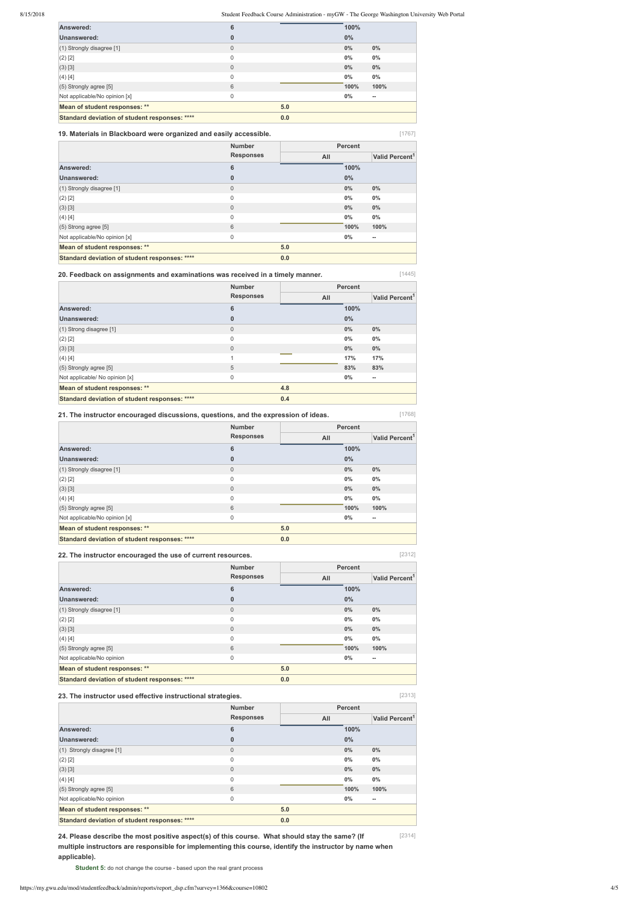[1767]

[1445]

[1768]

[2312]

[2313]

| Answered:                                     | 6            |     | 100%  |       |
|-----------------------------------------------|--------------|-----|-------|-------|
| Unanswered:                                   | 0            |     | $0\%$ |       |
| $(1)$ Strongly disagree $[1]$                 | $\mathbf{0}$ |     | $0\%$ | $0\%$ |
| $(2)$ [2]                                     | 0            |     | $0\%$ | $0\%$ |
| (3) [3]                                       | $\mathbf{0}$ |     | $0\%$ | $0\%$ |
| $(4)$ [4]                                     | 0            |     | $0\%$ | $0\%$ |
| $(5)$ Strongly agree [5]                      | 6            |     | 100%  | 100%  |
| Not applicable/No opinion [x]                 | 0            |     | $0\%$ | --    |
| Mean of student responses: **                 |              | 5.0 |       |       |
| Standard deviation of student responses: **** |              | 0.0 |       |       |

#### **19. Materials in Blackboard were organized and easily accessible.**

**20. Feedback on assignments and examinations was received in a timely manner.**

#### **21. The instructor encouraged discussions, questions, and the expression of ideas.**

[2314] **24. Please describe the most positive aspect(s) of this course. What should stay the same? (If multiple instructors are responsible for implementing this course, identify the instructor by name when applicable).**

**Student 5:** do not change the course - based upon the real grant process

|                                               | <b>Number</b>    |     | <b>Percent</b><br>All |                          |  |
|-----------------------------------------------|------------------|-----|-----------------------|--------------------------|--|
|                                               | <b>Responses</b> |     |                       |                          |  |
| Answered:                                     | 6                |     | 100%                  |                          |  |
| Unanswered:                                   | 0                |     | $0\%$                 |                          |  |
| (1) Strongly disagree [1]                     | $\overline{0}$   |     | $0\%$                 | 0%                       |  |
| $(2)$ [2]                                     | $\mathbf 0$      |     | $0\%$                 | 0%                       |  |
| (3) [3]                                       | $\mathbf{0}$     |     | $0\%$                 | $0\%$                    |  |
| (4) [4]                                       | $\mathbf 0$      |     | $0\%$                 | $0\%$                    |  |
| $(5)$ Strong agree [5]                        | 6                |     | 100%                  | 100%                     |  |
| Not applicable/No opinion [x]                 | $\mathbf 0$      |     | $0\%$                 | $\overline{\phantom{a}}$ |  |
| Mean of student responses: **                 |                  | 5.0 |                       |                          |  |
| Standard deviation of student responses: **** |                  | 0.0 |                       |                          |  |

#### **22. The instructor encouraged the use of current resources.**

| <b>Number</b>    |     |                            |                          |
|------------------|-----|----------------------------|--------------------------|
| <b>Responses</b> | All | Valid Percent <sup>1</sup> |                          |
| 6                |     | 100%                       |                          |
| $\bf{0}$         |     | $0\%$                      |                          |
| $\overline{0}$   |     | 0%                         | 0%                       |
| $\mathbf 0$      |     | $0\%$                      | $0\%$                    |
| $\mathbf 0$      |     | $0\%$                      | $0\%$                    |
| $\overline{A}$   |     | 17%                        | 17%                      |
| 5                |     | 83%                        | 83%                      |
| $\mathsf 0$      |     | $0\%$                      | $\overline{\phantom{a}}$ |
|                  | 4.8 |                            |                          |
|                  | 0.4 |                            |                          |
|                  |     |                            | <b>Percent</b>           |

|                                               | <b>Number</b><br><b>Responses</b> | <b>Percent</b> |                            |                          |
|-----------------------------------------------|-----------------------------------|----------------|----------------------------|--------------------------|
|                                               |                                   | All            | Valid Percent <sup>1</sup> |                          |
| Answered:                                     | 6                                 |                | 100%                       |                          |
| Unanswered:                                   | $\bf{0}$                          |                | $0\%$                      |                          |
| $(1)$ Strongly disagree [1]                   | $\mathbf 0$                       |                | 0%                         | $0\%$                    |
| $(2)$ [2]                                     | $\mathsf 0$                       |                | $0\%$                      | $0\%$                    |
| $(3)$ [3]                                     | $\mathbf 0$                       |                | $0\%$                      | $0\%$                    |
| (4) [4]                                       | $\mathbf 0$                       |                | $0\%$                      | $0\%$                    |
| $(5)$ Strongly agree [5]                      | 6                                 |                | 100%                       | 100%                     |
| Not applicable/No opinion [x]                 | $\mathsf 0$                       |                | $0\%$                      | $\overline{\phantom{a}}$ |
| Mean of student responses: **                 |                                   | 5.0            |                            |                          |
| Standard deviation of student responses: **** |                                   | 0.0            |                            |                          |

# **23. The instructor used effective instructional strategies.**

|                                               | <b>Number</b>    | <b>Percent</b> |                            |  |  |
|-----------------------------------------------|------------------|----------------|----------------------------|--|--|
|                                               | <b>Responses</b> | All            | Valid Percent <sup>1</sup> |  |  |
| Answered:                                     | 6                | 100%           |                            |  |  |
| Unanswered:                                   | $\bf{0}$         | $0\%$          |                            |  |  |
| $(1)$ Strongly disagree [1]                   | $\mathbf 0$      | 0%             | $0\%$                      |  |  |
| $(2)$ [2]                                     | $\mathbf 0$      | $0\%$          | $0\%$                      |  |  |
| $(3)$ [3]                                     | $\mathbf 0$      | $0\%$          | $0\%$                      |  |  |
| (4) [4]                                       | $\mathbf 0$      | 0%             | $0\%$                      |  |  |
| $(5)$ Strongly agree [5]                      | 6                | 100%           | 100%                       |  |  |
| Not applicable/No opinion                     | $\mathsf 0$      | 0%             | --                         |  |  |
| Mean of student responses: **                 | 5.0              |                |                            |  |  |
| Standard deviation of student responses: **** | 0.0              |                |                            |  |  |

|                                               | <b>Number</b>    | <b>Percent</b> |       |                          |  |
|-----------------------------------------------|------------------|----------------|-------|--------------------------|--|
|                                               | <b>Responses</b> | All            |       |                          |  |
| Answered:                                     | 6                |                | 100%  |                          |  |
| <b>Unanswered:</b>                            | 0                |                | $0\%$ |                          |  |
| $(1)$ Strongly disagree [1]                   | $\overline{0}$   |                | 0%    | $0\%$                    |  |
| $(2)$ [2]                                     | 0                |                | 0%    | $0\%$                    |  |
| $(3)$ [3]                                     | $\overline{0}$   |                | 0%    | $0\%$                    |  |
| (4) [4]                                       | $\mathbf{0}$     |                | 0%    | $0\%$                    |  |
| $(5)$ Strongly agree [5]                      | 6                |                | 100%  | 100%                     |  |
| Not applicable/No opinion                     | 0                |                | $0\%$ | $\overline{\phantom{a}}$ |  |
| Mean of student responses: **                 |                  | 5.0            |       |                          |  |
| Standard deviation of student responses: **** |                  | 0.0            |       |                          |  |